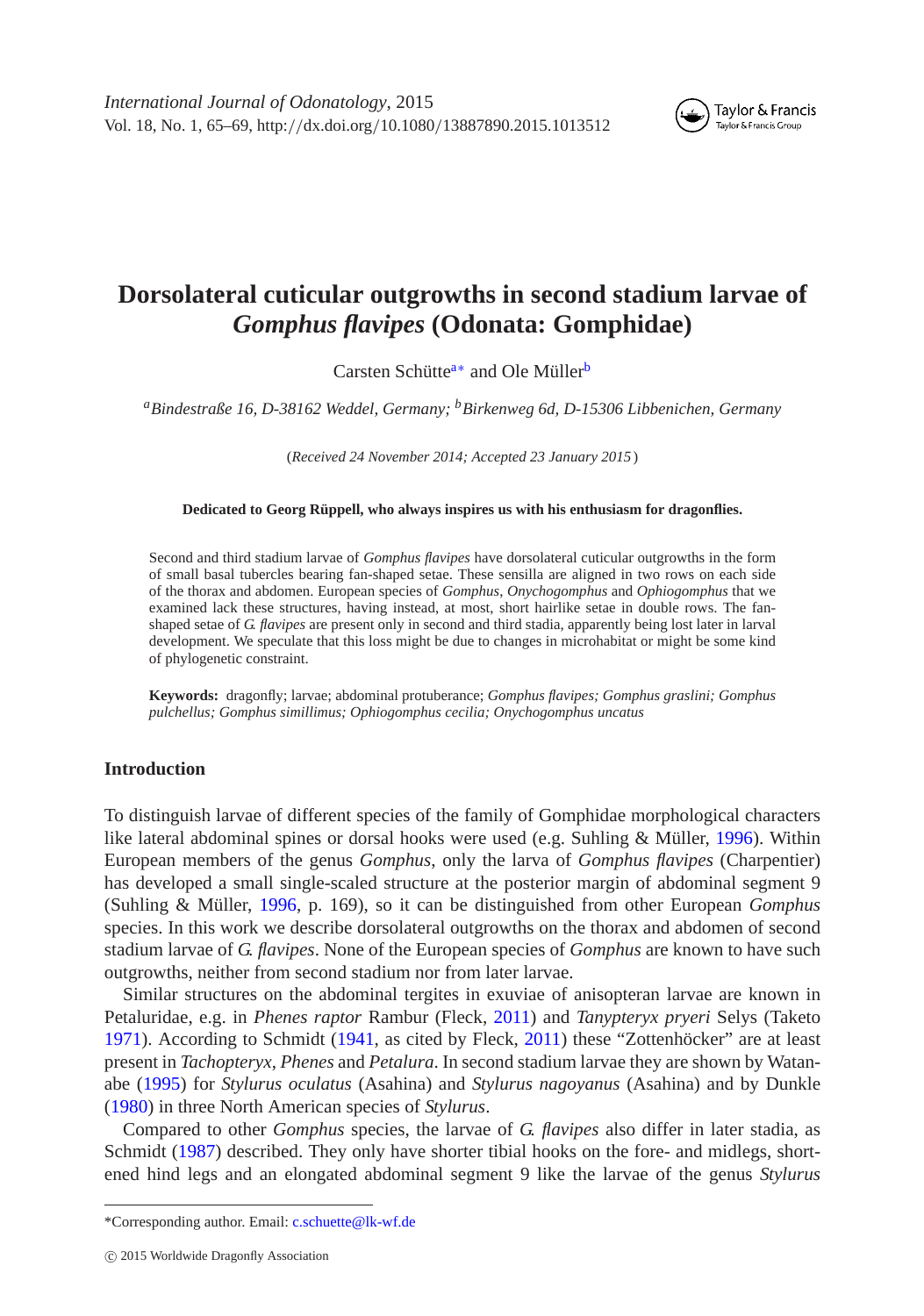

# **Dorsolateral cuticular outgrowths in second stadium larvae of** *Gomphus flavipes* **(Odonata: Gomphidae)**

<span id="page-0-2"></span>Carsten Schütte<sup>a[∗](#page-0-1)</sup> and Ole Müller<sup>[b](#page-0-2)</sup>

<span id="page-0-0"></span>*aBindestraße 16, D-38162 Weddel, Germany; bBirkenweg 6d, D-15306 Libbenichen, Germany*

(*Received 24 November 2014; Accepted 23 January 2015* )

**Dedicated to Georg Rüppell, who always inspires us with his enthusiasm for dragonflies.**

Second and third stadium larvae of *Gomphus flavipes* have dorsolateral cuticular outgrowths in the form of small basal tubercles bearing fan-shaped setae. These sensilla are aligned in two rows on each side of the thorax and abdomen. European species of *Gomphus*, *Onychogomphus* and *Ophiogomphus* that we examined lack these structures, having instead, at most, short hairlike setae in double rows. The fanshaped setae of *G. flavipes* are present only in second and third stadia, apparently being lost later in larval development. We speculate that this loss might be due to changes in microhabitat or might be some kind of phylogenetic constraint.

**Keywords:** dragonfly; larvae; abdominal protuberance; *Gomphus flavipes; Gomphus graslini; Gomphus pulchellus; Gomphus simillimus; Ophiogomphus cecilia; Onychogomphus uncatus*

## **Introduction**

To distinguish larvae of different species of the family of Gomphidae morphological characters like lateral abdominal spines or dorsal hooks were used (e.g. Suhling & Müller, [1996\)](#page-4-0). Within European members of the genus *Gomphus*, only the larva of *Gomphus flavipes* (Charpentier) has developed a small single-scaled structure at the posterior margin of abdominal segment 9 (Suhling & Müller, [1996,](#page-4-0) p. 169), so it can be distinguished from other European *Gomphus* species. In this work we describe dorsolateral outgrowths on the thorax and abdomen of second stadium larvae of *G. flavipes*. None of the European species of *Gomphus* are known to have such outgrowths, neither from second stadium nor from later larvae.

Similar structures on the abdominal tergites in exuviae of anisopteran larvae are known in Petaluridae, e.g. in *Phenes raptor* Rambur (Fleck, [2011\)](#page-3-0) and *Tanypteryx pryeri* Selys (Taketo [1971\)](#page-4-1). According to Schmidt [\(1941,](#page-4-2) as cited by Fleck, [2011\)](#page-3-0) these "Zottenhöcker" are at least present in *Tachopteryx*, *Phenes* and *Petalura*. In second stadium larvae they are shown by Watanabe [\(1995\)](#page-4-3) for *Stylurus oculatus* (Asahina) and *Stylurus nagoyanus* (Asahina) and by Dunkle [\(1980\)](#page-3-1) in three North American species of *Stylurus*.

Compared to other *Gomphus* species, the larvae of *G. flavipes* also differ in later stadia, as Schmidt [\(1987\)](#page-4-4) described. They only have shorter tibial hooks on the fore- and midlegs, shortened hind legs and an elongated abdominal segment 9 like the larvae of the genus *Stylurus*

<span id="page-0-1"></span><sup>\*</sup>Corresponding author. Email: [c.schuette@lk-wf.de](mailto:c.schuette@lk-wf.de)

c 2015 Worldwide Dragonfly Association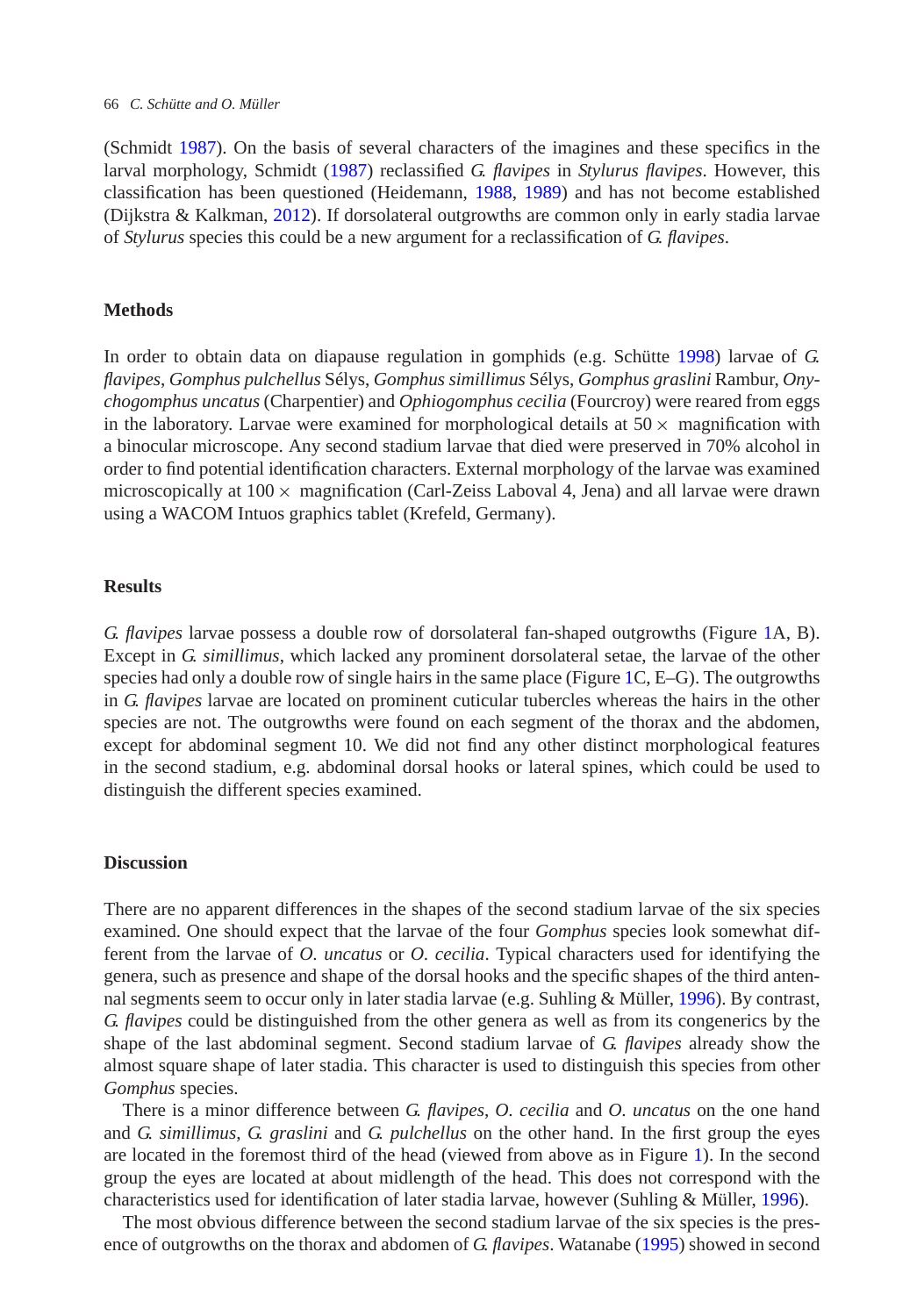(Schmidt [1987\)](#page-4-4). On the basis of several characters of the imagines and these specifics in the larval morphology, Schmidt [\(1987\)](#page-4-4) reclassified *G. flavipes* in *Stylurus flavipes*. However, this classification has been questioned (Heidemann, [1988,](#page-3-2) [1989\)](#page-3-3) and has not become established (Dijkstra & Kalkman, [2012\)](#page-3-4). If dorsolateral outgrowths are common only in early stadia larvae of *Stylurus* species this could be a new argument for a reclassification of *G. flavipes*.

### **Methods**

In order to obtain data on diapause regulation in gomphids (e.g. Schütte [1998\)](#page-4-5) larvae of *G. flavipes*, *Gomphus pulchellus* Sélys, *Gomphus simillimus* Sélys, *Gomphus graslini* Rambur, *Onychogomphus uncatus* (Charpentier) and *Ophiogomphus cecilia* (Fourcroy) were reared from eggs in the laboratory. Larvae were examined for morphological details at  $50 \times$  magnification with a binocular microscope. Any second stadium larvae that died were preserved in 70% alcohol in order to find potential identification characters. External morphology of the larvae was examined microscopically at  $100 \times$  magnification (Carl-Zeiss Laboval 4, Jena) and all larvae were drawn using a WACOM Intuos graphics tablet (Krefeld, Germany).

## **Results**

*G. flavipes* larvae possess a double row of dorsolateral fan-shaped outgrowths (Figure [1A](#page-2-0), B). Except in *G. simillimus*, which lacked any prominent dorsolateral setae, the larvae of the other species had only a double row of single hairs in the same place (Figure [1C](#page-2-0), E–G). The outgrowths in *G. flavipes* larvae are located on prominent cuticular tubercles whereas the hairs in the other species are not. The outgrowths were found on each segment of the thorax and the abdomen, except for abdominal segment 10. We did not find any other distinct morphological features in the second stadium, e.g. abdominal dorsal hooks or lateral spines, which could be used to distinguish the different species examined.

## **Discussion**

There are no apparent differences in the shapes of the second stadium larvae of the six species examined. One should expect that the larvae of the four *Gomphus* species look somewhat different from the larvae of *O. uncatus* or *O. cecilia*. Typical characters used for identifying the genera, such as presence and shape of the dorsal hooks and the specific shapes of the third antennal segments seem to occur only in later stadia larvae (e.g. Suhling & Müller, [1996\)](#page-4-0). By contrast, *G. flavipes* could be distinguished from the other genera as well as from its congenerics by the shape of the last abdominal segment. Second stadium larvae of *G. flavipes* already show the almost square shape of later stadia. This character is used to distinguish this species from other *Gomphus* species.

There is a minor difference between *G. flavipes*, *O. cecilia* and *O. uncatus* on the one hand and *G. simillimus*, *G. graslini* and *G. pulchellus* on the other hand. In the first group the eyes are located in the foremost third of the head (viewed from above as in Figure [1\)](#page-2-0). In the second group the eyes are located at about midlength of the head. This does not correspond with the characteristics used for identification of later stadia larvae, however (Suhling & Müller, [1996\)](#page-4-0).

The most obvious difference between the second stadium larvae of the six species is the presence of outgrowths on the thorax and abdomen of *G. flavipes*. Watanabe [\(1995\)](#page-4-3) showed in second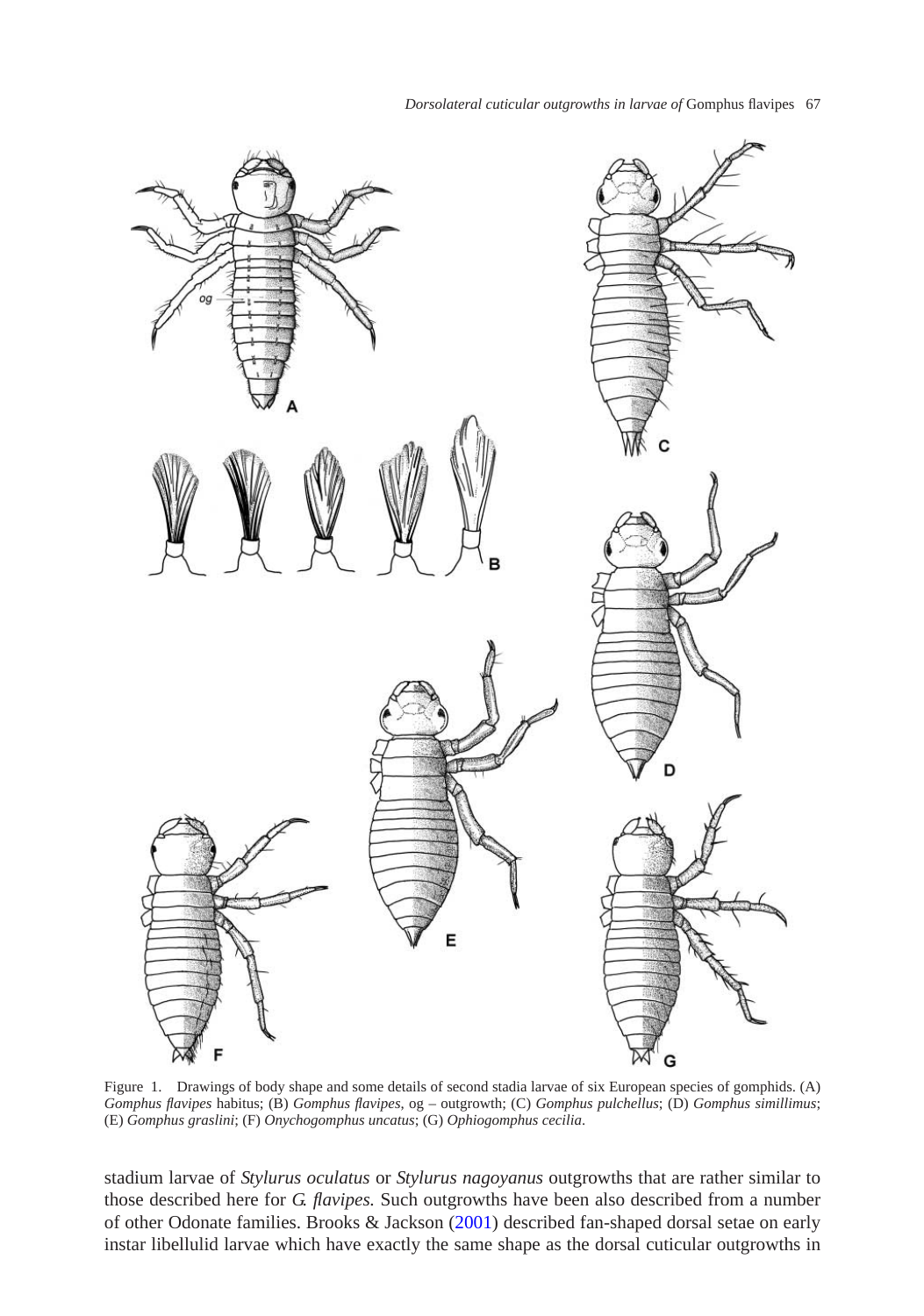*Dorsolateral cuticular outgrowths in larvae of* Gomphus flavipes 67



<span id="page-2-0"></span>Figure 1. Drawings of body shape and some details of second stadia larvae of six European species of gomphids. (A) *Gomphus flavipes* habitus; (B) *Gomphus flavipes*, og – outgrowth; (C) *Gomphus pulchellus*; (D) *Gomphus simillimus*; (E) *Gomphus graslini*; (F) *Onychogomphus uncatus*; (G) *Ophiogomphus cecilia*.

stadium larvae of *Stylurus oculatus* or *Stylurus nagoyanus* outgrowths that are rather similar to those described here for *G. flavipes.* Such outgrowths have been also described from a number of other Odonate families. Brooks & Jackson [\(2001\)](#page-3-5) described fan-shaped dorsal setae on early instar libellulid larvae which have exactly the same shape as the dorsal cuticular outgrowths in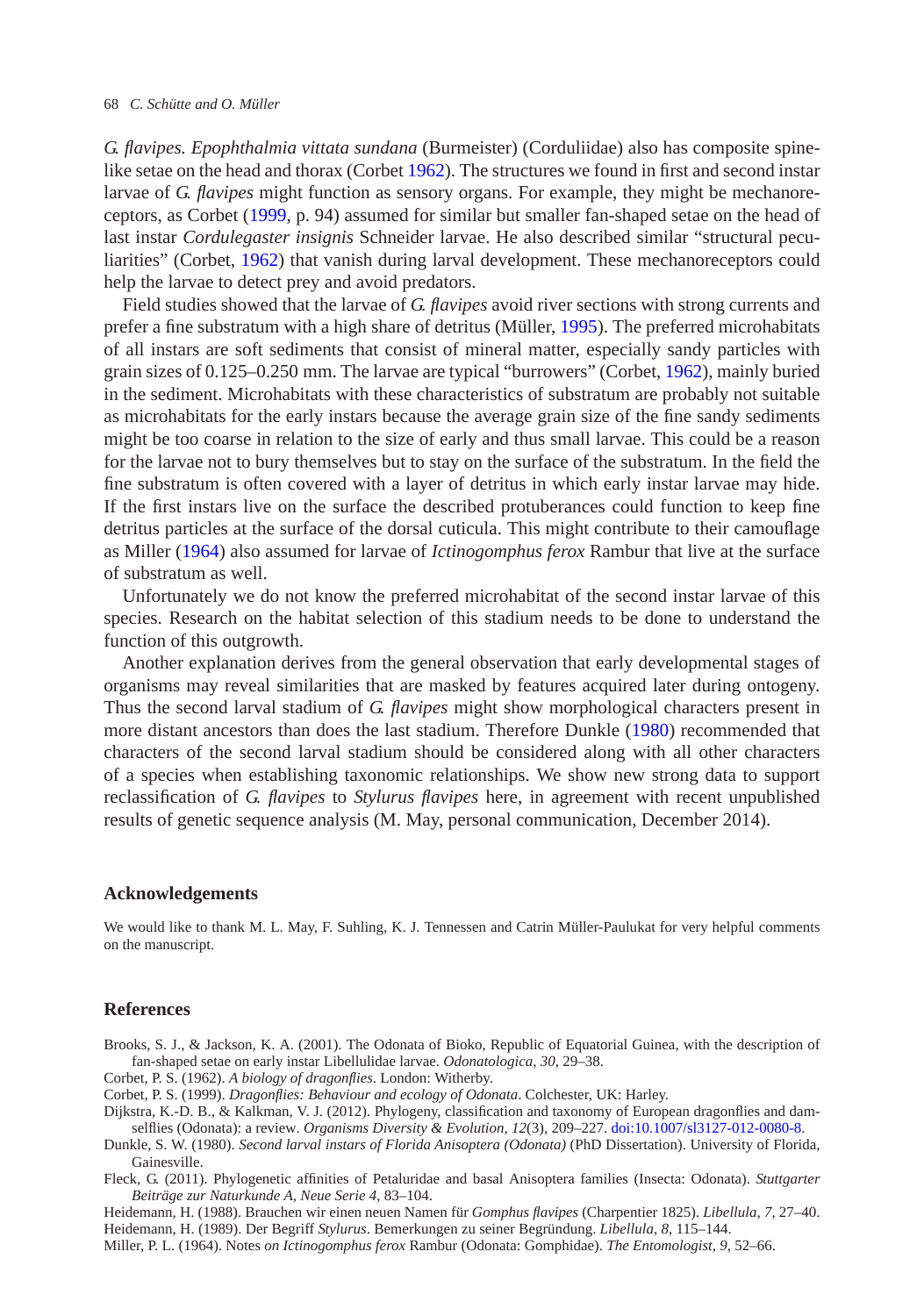#### 68 *C. Schütte and O. Müller*

*G. flavipes. Epophthalmia vittata sundana* (Burmeister) (Corduliidae) also has composite spinelike setae on the head and thorax (Corbet [1962\)](#page-3-6). The structures we found in first and second instar larvae of *G. flavipes* might function as sensory organs. For example, they might be mechanoreceptors, as Corbet [\(1999,](#page-3-7) p. 94) assumed for similar but smaller fan-shaped setae on the head of last instar *Cordulegaster insignis* Schneider larvae. He also described similar "structural peculiarities" (Corbet, [1962\)](#page-3-6) that vanish during larval development. These mechanoreceptors could help the larvae to detect prey and avoid predators.

Field studies showed that the larvae of *G. flavipes* avoid river sections with strong currents and prefer a fine substratum with a high share of detritus (Müller, [1995\)](#page-4-6). The preferred microhabitats of all instars are soft sediments that consist of mineral matter, especially sandy particles with grain sizes of 0.125–0.250 mm. The larvae are typical "burrowers" (Corbet, [1962\)](#page-3-6), mainly buried in the sediment. Microhabitats with these characteristics of substratum are probably not suitable as microhabitats for the early instars because the average grain size of the fine sandy sediments might be too coarse in relation to the size of early and thus small larvae. This could be a reason for the larvae not to bury themselves but to stay on the surface of the substratum. In the field the fine substratum is often covered with a layer of detritus in which early instar larvae may hide. If the first instars live on the surface the described protuberances could function to keep fine detritus particles at the surface of the dorsal cuticula. This might contribute to their camouflage as Miller [\(1964\)](#page-3-8) also assumed for larvae of *Ictinogomphus ferox* Rambur that live at the surface of substratum as well.

Unfortunately we do not know the preferred microhabitat of the second instar larvae of this species. Research on the habitat selection of this stadium needs to be done to understand the function of this outgrowth.

Another explanation derives from the general observation that early developmental stages of organisms may reveal similarities that are masked by features acquired later during ontogeny. Thus the second larval stadium of *G. flavipes* might show morphological characters present in more distant ancestors than does the last stadium. Therefore Dunkle [\(1980\)](#page-3-1) recommended that characters of the second larval stadium should be considered along with all other characters of a species when establishing taxonomic relationships. We show new strong data to support reclassification of *G. flavipes* to *Stylurus flavipes* here, in agreement with recent unpublished results of genetic sequence analysis (M. May, personal communication, December 2014).

#### **Acknowledgements**

We would like to thank M. L. May, F. Suhling, K. J. Tennessen and Catrin Müller-Paulukat for very helpful comments on the manuscript.

#### **References**

- <span id="page-3-5"></span>Brooks, S. J., & Jackson, K. A. (2001). The Odonata of Bioko, Republic of Equatorial Guinea, with the description of fan-shaped setae on early instar Libellulidae larvae. *Odonatologica*, *30*, 29–38.
- Corbet, P. S. (1962). *A biology of dragonflies*. London: Witherby.
- <span id="page-3-6"></span>Corbet, P. S. (1999). *Dragonflies: Behaviour and ecology of Odonata*. Colchester, UK: Harley.
- <span id="page-3-7"></span><span id="page-3-4"></span>Dijkstra, K.-D. B., & Kalkman, V. J. (2012). Phylogeny, classification and taxonomy of European dragonflies and damselflies (Odonata): a review. *Organisms Diversity & Evolution*, *12*(3), 209–227. [doi:10.1007/sl3127-012-0080-8.](http://dx.doi.org/10.1007/sl3127-012-0080-8)
- <span id="page-3-1"></span>Dunkle, S. W. (1980). *Second larval instars of Florida Anisoptera (Odonata)* (PhD Dissertation). University of Florida, Gainesville.
- <span id="page-3-0"></span>Fleck, G. (2011). Phylogenetic affinities of Petaluridae and basal Anisoptera families (Insecta: Odonata). *Stuttgarter Beiträge zur Naturkunde A, Neue Serie 4*, 83–104.
- <span id="page-3-2"></span>Heidemann, H. (1988). Brauchen wir einen neuen Namen für *Gomphus flavipes* (Charpentier 1825). *Libellula*, *7*, 27–40. Heidemann, H. (1989). Der Begriff *Stylurus*. Bemerkungen zu seiner Begründung. *Libellula*, *8*, 115–144.

<span id="page-3-8"></span><span id="page-3-3"></span>Miller, P. L. (1964). Notes *on Ictinogomphus ferox* Rambur (Odonata: Gomphidae). *The Entomologist*, *9*, 52–66.